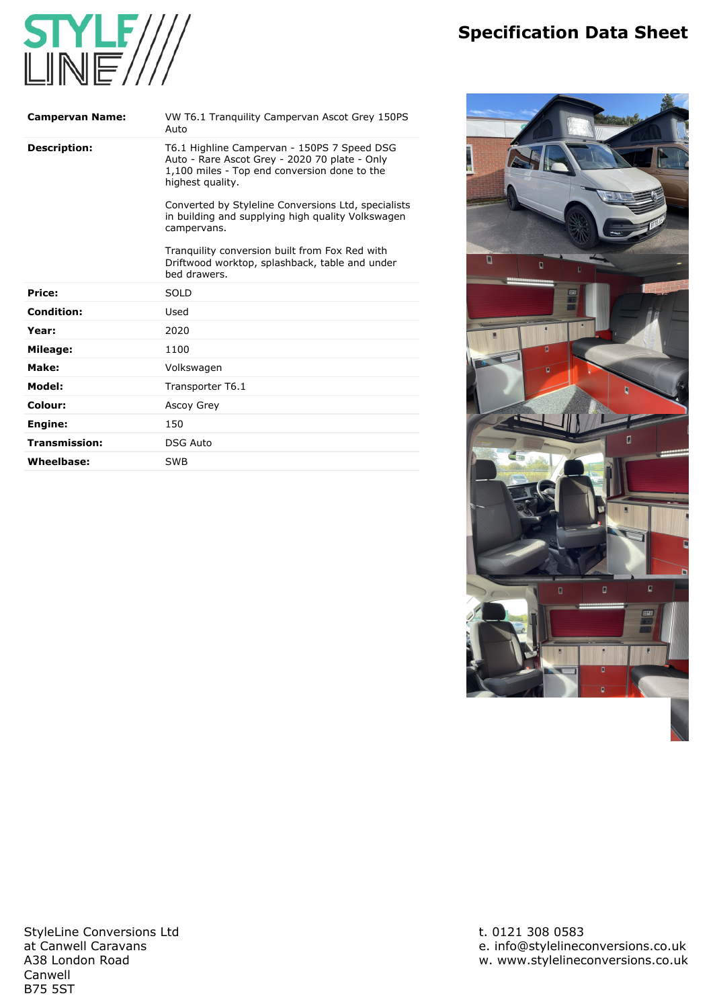## **Specification Data Sheet**



| <b>Campervan Name:</b> | VW T6.1 Tranguility Campervan Ascot Grey 150PS<br>Auto                                                                                                           |
|------------------------|------------------------------------------------------------------------------------------------------------------------------------------------------------------|
| <b>Description:</b>    | T6.1 Highline Campervan - 150PS 7 Speed DSG<br>Auto - Rare Ascot Grey - 2020 70 plate - Only<br>1,100 miles - Top end conversion done to the<br>highest quality. |
|                        | Converted by Styleline Conversions Ltd, specialists<br>in building and supplying high quality Volkswagen<br>campervans.                                          |
|                        | Tranguility conversion built from Fox Red with<br>Driftwood worktop, splashback, table and under<br>hed drawers.                                                 |
| Price:                 | <b>SOLD</b>                                                                                                                                                      |
| <b>Condition:</b>      | Used                                                                                                                                                             |
| Year:                  | 2020                                                                                                                                                             |
| Mileage:               | 1100                                                                                                                                                             |
| Make:                  | Volkswagen                                                                                                                                                       |
| Model:                 | Transporter T6.1                                                                                                                                                 |
| Colour:                | Ascoy Grey                                                                                                                                                       |
| Engine:                | 150                                                                                                                                                              |
| Transmission:          | <b>DSG Auto</b>                                                                                                                                                  |
| Wheelbase:             | SWB                                                                                                                                                              |



**StyleLine Conversions Ltd at Canwell Caravans A38 London Road Canwell B75 5ST**

**t. 0121 308 0583 e. [info@stylelineconversions.co.uk](mailto:info@stylelineconversions.co.uk) w. [www.stylelineconversions.co.uk](http://www.stylelineconversions.co.uk)**